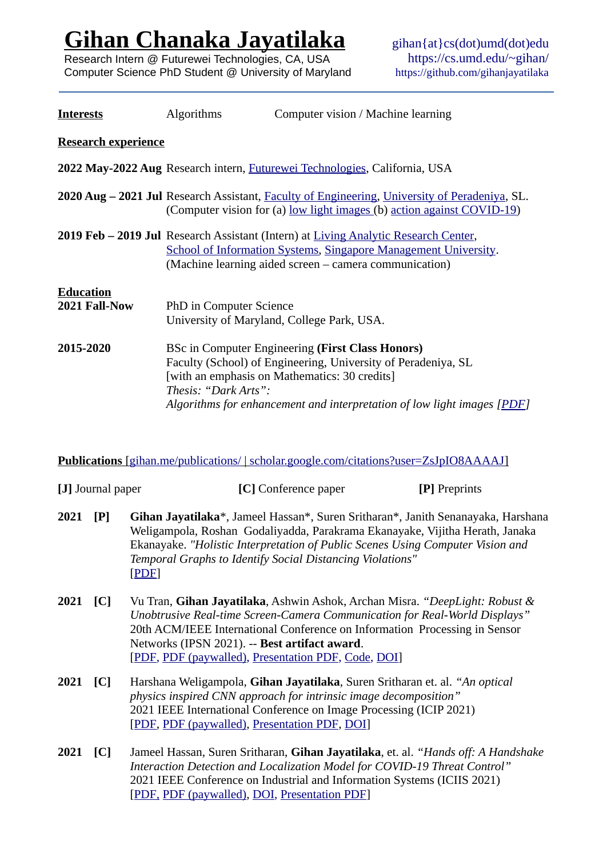**[Gihan Chanaka Jayatilaka](https://gihan.me/)**

Research Intern @ Futurewei Technologies, CA, USA Computer Science PhD Student @ University of Maryland gihan{at}cs(dot)umd(dot)edu <https://cs.umd.edu/~gihan/> <https://github.com/gihanjayatilaka>

| <b>Interests</b>                  | <b>Algorithms</b>       | Computer vision / Machine learning                                                                                                                                                                                                                   |
|-----------------------------------|-------------------------|------------------------------------------------------------------------------------------------------------------------------------------------------------------------------------------------------------------------------------------------------|
| <b>Research experience</b>        |                         |                                                                                                                                                                                                                                                      |
|                                   |                         | 2022 May-2022 Aug Research intern, <i>Futurewei Technologies</i> , California, USA                                                                                                                                                                   |
|                                   |                         | 2020 Aug – 2021 Jul Research Assistant, Faculty of Engineering, University of Peradeniya, SL.<br>(Computer vision for (a) low light images (b) action against COVID-19)                                                                              |
|                                   |                         | <b>2019 Feb – 2019 Jul</b> Research Assistant (Intern) at Living Analytic Research Center,<br>School of Information Systems, Singapore Management University.<br>(Machine learning aided screen – camera communication)                              |
| <b>Education</b><br>2021 Fall-Now | PhD in Computer Science | University of Maryland, College Park, USA.                                                                                                                                                                                                           |
| 2015-2020                         | Thesis: "Dark Arts":    | <b>BSc in Computer Engineering (First Class Honors)</b><br>Faculty (School) of Engineering, University of Peradeniya, SL<br>[with an emphasis on Mathematics: 30 credits]<br>Algorithms for enhancement and interpretation of low light images [PDF] |

## **Publications** [\[ gihan.me/publications/](https://gihan.me/publications/) | [scholar.google.com/citations?user=ZsJpIO8AAAAJ](https://scholar.google.com/citations?hl=en&user=ZsJpIO8AAAAJ&view_op=list_works&sortby=pubdate) ]

|          | [J] Journal paper | [C] Conference paper                                                                                                                                                                                                                                                                                                                            | [P] Preprints |
|----------|-------------------|-------------------------------------------------------------------------------------------------------------------------------------------------------------------------------------------------------------------------------------------------------------------------------------------------------------------------------------------------|---------------|
| 2021     | [P]               | Gihan Jayatilaka*, Jameel Hassan*, Suren Sritharan*, Janith Senanayaka, Harshana<br>Weligampola, Roshan Godaliyadda, Parakrama Ekanayake, Vijitha Herath, Janaka<br>Ekanayake. "Holistic Interpretation of Public Scenes Using Computer Vision and<br>Temporal Graphs to Identify Social Distancing Violations"<br>[PDF]                        |               |
| 2021     | [C]               | Vu Tran, Gihan Jayatilaka, Ashwin Ashok, Archan Misra. "DeepLight: Robust &<br>Unobtrusive Real-time Screen-Camera Communication for Real-World Displays"<br>20th ACM/IEEE International Conference on Information Processing in Sensor<br>Networks (IPSN 2021). -- Best artifact award.<br>[PDF, PDF (paywalled), Presentation PDF, Code, DOI] |               |
| 2021     | [C]               | Harshana Weligampola, Gihan Jayatilaka, Suren Sritharan et. al. "An optical<br>physics inspired CNN approach for intrinsic image decomposition"<br>2021 IEEE International Conference on Image Processing (ICIP 2021)<br>[PDF, PDF (paywalled), Presentation PDF, DOI]                                                                          |               |
| 2021 [C] |                   | Jameel Hassan, Suren Sritharan, Gihan Jayatilaka, et. al. "Hands off: A Handshake<br>Interaction Detection and Localization Model for COVID-19 Threat Control"<br>2021 IEEE Conference on Industrial and Information Systems (ICIIS 2021)<br>[PDF, PDF (paywalled), DOI, Presentation PDF]                                                      |               |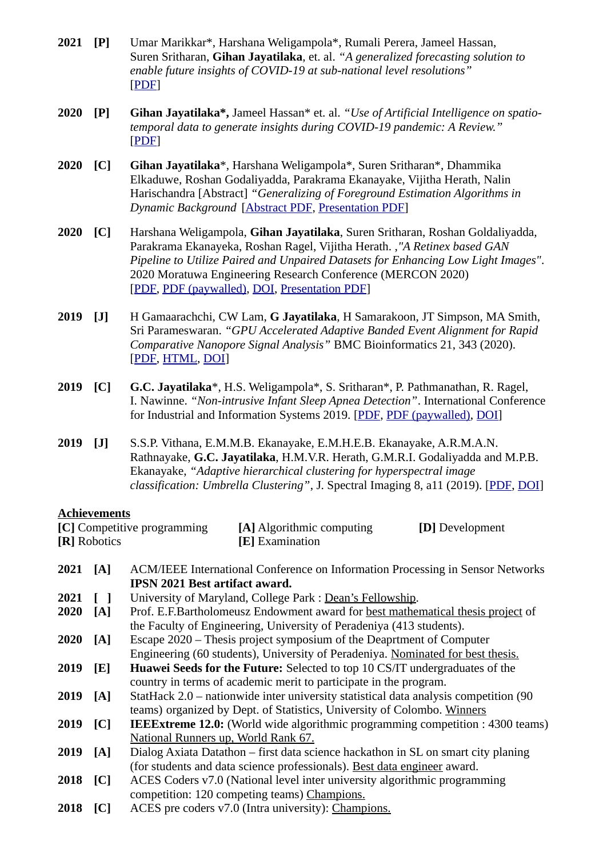- **[2021](https://gihan.me/publications/#forecasting-2021) [P]** [Umar Marikkar\\*, Harshana Weligampola\\*, Rumali Perera, Jameel Hassan,](https://gihan.me/publications/#forecasting-2021)  [Suren Sritharan,](https://gihan.me/publications/#forecasting-2021) **[Gihan Jayatilaka](https://gihan.me/publications/#forecasting-2021)**[, et. al.](https://gihan.me/publications/#forecasting-2021) *["A generalized forecasting solution to](https://gihan.me/publications/#forecasting-2021)  [enable future insights of COVID-19 at sub-national level resolutions"](https://gihan.me/publications/#forecasting-2021)* [[PDF\]](https://arxiv.org/pdf/2108.09556)
- **[2020](https://gihan.me/publications/#medrxiv-2020) [\[P\]](https://gihan.me/publications/#medrxiv-2020) [Gihan Jayatilaka\\*,](https://gihan.me/publications/#medrxiv-2020)** [Jameel Hassan\\* et. al.](https://gihan.me/publications/#medrxiv-2020) *["Use of Artificial Intelligence on spatio](https://gihan.me/publications/#medrxiv-2020)[temporal data to generate insights during COVID-19 pandemic: A Review."](https://gihan.me/publications/#medrxiv-2020)* [\[](https://gihan.me/publications/#medrxiv-2020)[PDF\]](https://www.medrxiv.org/content/10.1101/2020.11.22.20232959v3.full.pdf)
- **[2020](https://gihan.me/publications/#sltc-2020) [C] [Gihan Jayatilaka](https://gihan.me/publications/#sltc-2020)**[\\*, Harshana Weligampola\\*, Suren Sritharan\\*, Dhammika](https://gihan.me/publications/#sltc-2020)  [Elkaduwe, Roshan Godaliyadda, Parakrama Ekanayake, Vijitha Herath, Nalin](https://gihan.me/publications/#sltc-2020)  [Harischandra \[Abstract\]](https://gihan.me/publications/#sltc-2020) *["Generalizing of Foreground Estimation Algorithms in](https://gihan.me/publications/#sltc-2020)  [Dynamic Background](https://gihan.me/publications/#sltc-2020)* [Abstract PDF, [Presentation PDF](https://gihan.me/projects/foreground-estimation/2020-sltc-irc-presentation.pdf)]
- **[2020](https://gihan.me/publications/#mercon-2020) [C]** [Harshana Weligampola,](https://gihan.me/publications/#mercon-2020) **[Gihan Jayatilaka](https://gihan.me/publications/#mercon-2020)**[, Suren Sritharan, Roshan Goldaliyadda,](https://gihan.me/publications/#mercon-2020)  [Parakrama Ekanayeka, Roshan Ragel, Vijitha Herath. ,](https://gihan.me/publications/#mercon-2020)*["A Retinex based GAN](https://gihan.me/publications/#mercon-2020)  [Pipeline to Utilize Paired and Unpaired Datasets for Enhancing Low Light Images"](https://gihan.me/publications/#mercon-2020)*[.](https://gihan.me/publications/#mercon-2020)  [2020 Moratuwa Engineering Research Conference \(MERCON](https://gihan.me/publications/#mercon-2020) [2020\)](https://gihan.me/publications/#mercon-2020) [[PDF,](https://arxiv.org/abs/2006.15304) PDF (paywalled), [DOI](https://doi.org/10.1109/MERCon50084.2020.9185373), [Presentation PDF\]](https://gihan.me/projects/fyp/mercon-2020-presentation.pdf)
- **[2019](https://gihan.me/publications/#bmc-2020) [J]** [H Gamaarachchi, CW Lam,](https://gihan.me/publications/#bmc-2020) **[G Jayatilaka](https://gihan.me/publications/#bmc-2020)**[, H Samarakoon, JT Simpson, MA Smith,](https://gihan.me/publications/#bmc-2020)  [Sri Parameswaran.](https://gihan.me/publications/#bmc-2020) *["GPU Accelerated Adaptive B](https://gihan.me/publications/#bmc-2020)a[nded Event Alignment for Rapid](https://gihan.me/publications/#bmc-2020)  [Comparative Nanopore Signal Analysis"](https://gihan.me/publications/#bmc-2020)* [BMC Bioinformatics 21, 343 \(2020\).](https://gihan.me/publications/#bmc-2020) [[PDF,](https://bmcbioinformatics.biomedcentral.com/track/pdf/10.1186/s12859-020-03697-x) [HTML,](https://bmcbioinformatics.biomedcentral.com/articles/10.1186/s12859-020-03697-x) [DOI](https://doi.org/10.1186/s12859-020-03697-x)]
- **[2019 \[C\] G.C. Jayatilaka](https://gihan.me/publications/#iciis-2019)**[\\*, H.S. Weligampola\\*, S. Sritharan\\*, P. Pathmanathan, R. Ragel,](https://gihan.me/publications/#iciis-2019)  [I. Nawinne.](https://gihan.me/publications/#iciis-2019) *["Non-intrusive Infant Sleep Apnea Detection"](https://gihan.me/publications/#iciis-2019)*[. International Conference](https://gihan.me/publications/#iciis-2019)  [for Industrial and Information Systems 2019.](https://gihan.me/publications/#iciis-2019) [\[PDF](https://arxiv.org/abs/1910.04725), PDF (paywalled), [DOI](https://doi.org/10.1109/ICIIS47346.2019.9063269)]
- **[2019 \[J\]](https://gihan.me/publications/#jsi-2019)** [S.S.P. Vithana, E.M.M.B. Ekanayake, E.M.H.E.B. Ekanayake, A.R.M.A.N.](https://gihan.me/publications/#jsi-2019)  [Rathnayake,](https://gihan.me/publications/#jsi-2019) **[G.C. Jayatilaka](https://gihan.me/publications/#jsi-2019)**[, H.M.V.R. Herath, G.M.R.I. Godaliyadda and M.P.B.](https://gihan.me/publications/#jsi-2019)  [Ekanayake,](https://gihan.me/publications/#jsi-2019) *["Adaptive hierarchical clustering for hyperspectral image](https://gihan.me/publications/#jsi-2019)  [classification: Umbrella Clustering"](https://gihan.me/publications/#jsi-2019)*[, J. Spectral Imaging 8, a11 \(2019\).](https://gihan.me/publications/#jsi-2019) [\[PDF](https://www.impopen.com/download.php?code=I08_a11), [DOI\]](https://doi.org/10.1255/jsi.2019.a11)

#### **Achievements**

| [C] Competitive programming | [A] Algorithmic computing | [ <b>D</b> ] Development |
|-----------------------------|---------------------------|--------------------------|
| [R] Robotics                | [E] Examination           |                          |

- **2021 [A]** ACM/IEEE International Conference on Information Processing in Sensor Networks **IPSN 2021 Best artifact award. 2021 [ ]** University of Maryland, College Park : Dean's Fellowship. **2020 [A]** Prof. E.F.Bartholomeusz Endowment award for best mathematical thesis project of the Faculty of Engineering, University of Peradeniya (413 students). **2020 [A]** Escape 2020 – Thesis project symposium of the Deaprtment of Computer Engineering (60 students), University of Peradeniya. Nominated for best thesis. **2019 [E] Huawei Seeds for the Future:** Selected to top 10 CS/IT undergraduates of the country in terms of academic merit to participate in the program. **2019 [A]** StatHack 2.0 – nationwide inter university statistical data analysis competition (90 teams) organized by Dept. of Statistics, University of Colombo. Winners **2019 [C] IEEExtreme 12.0:** (World wide algorithmic programming competition : 4300 teams) National Runners up, World Rank 67. **2019 [A]** Dialog Axiata Datathon – first data science hackathon in SL on smart city planing (for students and data science professionals). Best data engineer award. **2018 [C]** ACES Coders v7.0 (National level inter university algorithmic programming competition: 120 competing teams) Champions.
- **2018 [C]** ACES pre coders v7.0 (Intra university): Champions.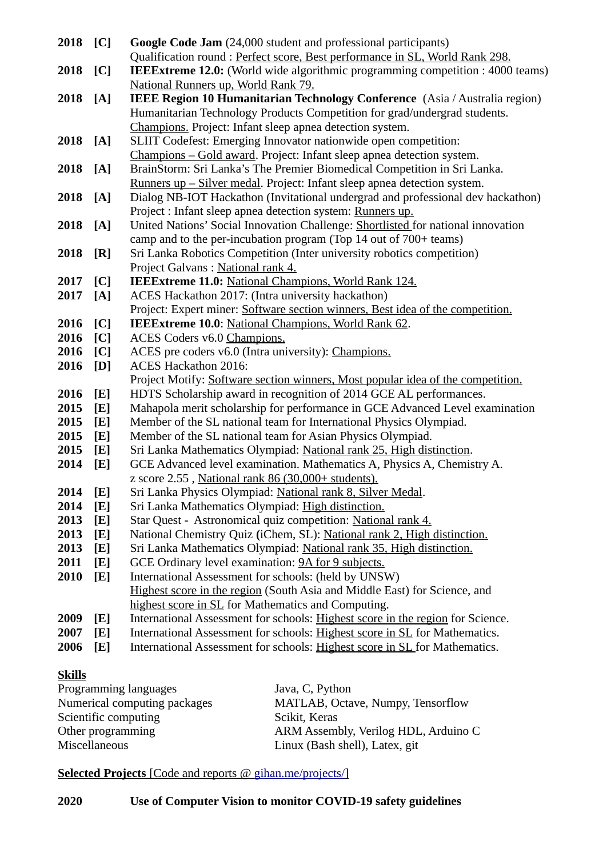| 2018 [C]     |     | Google Code Jam (24,000 student and professional participants)                     |
|--------------|-----|------------------------------------------------------------------------------------|
|              |     | Qualification round: Perfect score, Best performance in SL, World Rank 298.        |
| 2018         | [C] | IEEExtreme 12.0: (World wide algorithmic programming competition : 4000 teams)     |
|              |     | National Runners up, World Rank 79.                                                |
| 2018         | [A] | IEEE Region 10 Humanitarian Technology Conference (Asia / Australia region)        |
|              |     | Humanitarian Technology Products Competition for grad/undergrad students.          |
|              |     | Champions. Project: Infant sleep apnea detection system.                           |
| 2018         | [A] | SLIIT Codefest: Emerging Innovator nationwide open competition:                    |
|              |     | Champions - Gold award. Project: Infant sleep apnea detection system.              |
| 2018         | [A] | BrainStorm: Sri Lanka's The Premier Biomedical Competition in Sri Lanka.           |
|              |     | <u>Runners up – Silver medal</u> . Project: Infant sleep apnea detection system.   |
| 2018         | [A] | Dialog NB-IOT Hackathon (Invitational undergrad and professional dev hackathon)    |
|              |     | Project : Infant sleep apnea detection system: Runners up.                         |
| 2018         | [A] | United Nations' Social Innovation Challenge: Shortlisted for national innovation   |
|              |     | camp and to the per-incubation program (Top 14 out of 700+ teams)                  |
| 2018         | [R] | Sri Lanka Robotics Competition (Inter university robotics competition)             |
|              |     | Project Galvans: National rank 4.                                                  |
| 2017         | [C] | IEEExtreme 11.0: National Champions, World Rank 124.                               |
| 2017         | [A] | ACES Hackathon 2017: (Intra university hackathon)                                  |
|              |     | Project: Expert miner: Software section winners, Best idea of the competition.     |
| 2016         | [C] | IEEExtreme 10.0: National Champions, World Rank 62.                                |
| 2016<br>2016 | [C] | ACES Coders v6.0 Champions.                                                        |
| 2016         | [C] | ACES pre coders v6.0 (Intra university): Champions.<br><b>ACES Hackathon 2016:</b> |
|              | [D] | Project Motify: Software section winners, Most popular idea of the competition.    |
| 2016         | [E] | HDTS Scholarship award in recognition of 2014 GCE AL performances.                 |
| 2015         | [E] | Mahapola merit scholarship for performance in GCE Advanced Level examination       |
| 2015         | [E] | Member of the SL national team for International Physics Olympiad.                 |
| 2015         | [E] | Member of the SL national team for Asian Physics Olympiad.                         |
| 2015         | [E] | Sri Lanka Mathematics Olympiad: National rank 25, High distinction.                |
| 2014         | [E] | GCE Advanced level examination. Mathematics A, Physics A, Chemistry A.             |
|              |     | z score 2.55, National rank 86 (30,000+ students).                                 |
| 2014         | [E] | Sri Lanka Physics Olympiad: National rank 8, Silver Medal.                         |
| 2014         | [E] | Sri Lanka Mathematics Olympiad: High distinction.                                  |
| 2013         | [E] | Star Quest - Astronomical quiz competition: National rank 4.                       |
| 2013         | [E] | National Chemistry Quiz (iChem, SL): National rank 2, High distinction.            |
| 2013         | [E] | Sri Lanka Mathematics Olympiad: National rank 35, High distinction.                |
| 2011         | [E] | GCE Ordinary level examination: 9A for 9 subjects.                                 |
| 2010         | [E] | International Assessment for schools: (held by UNSW)                               |
|              |     | Highest score in the region (South Asia and Middle East) for Science, and          |
|              |     | highest score in SL for Mathematics and Computing.                                 |
| 2009         | [E] | International Assessment for schools: Highest score in the region for Science.     |
| 2007         | [E] | International Assessment for schools: Highest score in SL for Mathematics.         |
| 2006         | [E] | International Assessment for schools: Highest score in SL for Mathematics.         |

## **Skills**

| Programming languages        | Java, C, Python                      |
|------------------------------|--------------------------------------|
| Numerical computing packages | MATLAB, Octave, Numpy, Tensorflow    |
| Scientific computing         | Scikit, Keras                        |
| Other programming            | ARM Assembly, Verilog HDL, Arduino C |
| Miscellaneous                | Linux (Bash shell), Latex, git       |
|                              |                                      |

# **Selected Projects** [Code and reports @ [gihan.me/projects/ \]](https://gihan.me/projects/)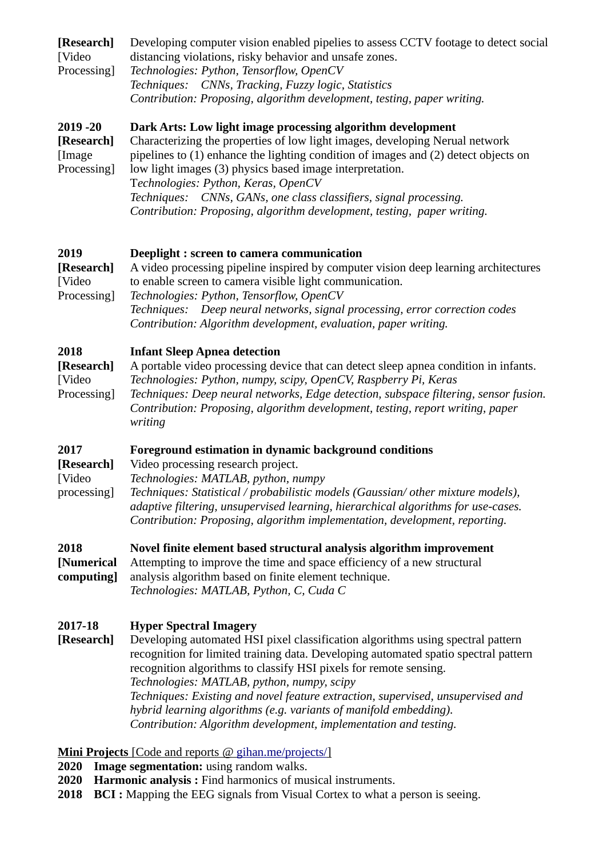| [Research]<br>[Video<br>Processing]                | Developing computer vision enabled pipelies to assess CCTV footage to detect social<br>distancing violations, risky behavior and unsafe zones.<br>Technologies: Python, Tensorflow, OpenCV<br>Techniques:<br>CNNs, Tracking, Fuzzy logic, Statistics<br>Contribution: Proposing, algorithm development, testing, paper writing.                                                                                                                                                                                                                        |
|----------------------------------------------------|--------------------------------------------------------------------------------------------------------------------------------------------------------------------------------------------------------------------------------------------------------------------------------------------------------------------------------------------------------------------------------------------------------------------------------------------------------------------------------------------------------------------------------------------------------|
| $2019 - 20$<br>[Research]<br>[Image<br>Processing] | Dark Arts: Low light image processing algorithm development<br>Characterizing the properties of low light images, developing Nerual network<br>pipelines to (1) enhance the lighting condition of images and (2) detect objects on<br>low light images (3) physics based image interpretation.<br>Technologies: Python, Keras, OpenCV<br>Techniques: CNNs, GANs, one class classifiers, signal processing.<br>Contribution: Proposing, algorithm development, testing, paper writing.                                                                  |
| 2019<br>[Research]<br>[Video<br>Processing]        | Deeplight : screen to camera communication<br>A video processing pipeline inspired by computer vision deep learning architectures<br>to enable screen to camera visible light communication.<br>Technologies: Python, Tensorflow, OpenCV<br>Techniques: Deep neural networks, signal processing, error correction codes<br>Contribution: Algorithm development, evaluation, paper writing.                                                                                                                                                             |
| 2018<br>[Research]<br>[Video<br>Processing]        | <b>Infant Sleep Apnea detection</b><br>A portable video processing device that can detect sleep apnea condition in infants.<br>Technologies: Python, numpy, scipy, OpenCV, Raspberry Pi, Keras<br>Techniques: Deep neural networks, Edge detection, subspace filtering, sensor fusion.<br>Contribution: Proposing, algorithm development, testing, report writing, paper<br>writing                                                                                                                                                                    |
| 2017<br>[Research]<br>[Video<br>processing]        | Foreground estimation in dynamic background conditions<br>Video processing research project.<br>Technologies: MATLAB, python, numpy<br>Techniques: Statistical / probabilistic models (Gaussian/ other mixture models),<br>adaptive filtering, unsupervised learning, hierarchical algorithms for use-cases.<br>Contribution: Proposing, algorithm implementation, development, reporting.                                                                                                                                                             |
| 2018<br>[Numerical<br>computing]                   | Novel finite element based structural analysis algorithm improvement<br>Attempting to improve the time and space efficiency of a new structural<br>analysis algorithm based on finite element technique.<br>Technologies: MATLAB, Python, C, Cuda C                                                                                                                                                                                                                                                                                                    |
| 2017-18<br>[Research]                              | <b>Hyper Spectral Imagery</b><br>Developing automated HSI pixel classification algorithms using spectral pattern<br>recognition for limited training data. Developing automated spatio spectral pattern<br>recognition algorithms to classify HSI pixels for remote sensing.<br>Technologies: MATLAB, python, numpy, scipy<br>Techniques: Existing and novel feature extraction, supervised, unsupervised and<br>hybrid learning algorithms (e.g. variants of manifold embedding).<br>Contribution: Algorithm development, implementation and testing. |
| 2020                                               | <b>Mini Projects</b> [Code and reports @ gihan.me/projects/]<br>Image segmentation: using random walks.                                                                                                                                                                                                                                                                                                                                                                                                                                                |

- **2020 Harmonic analysis :** Find harmonics of musical instruments.
- 2018 **BCI**: Mapping the EEG signals from Visual Cortex to what a person is seeing.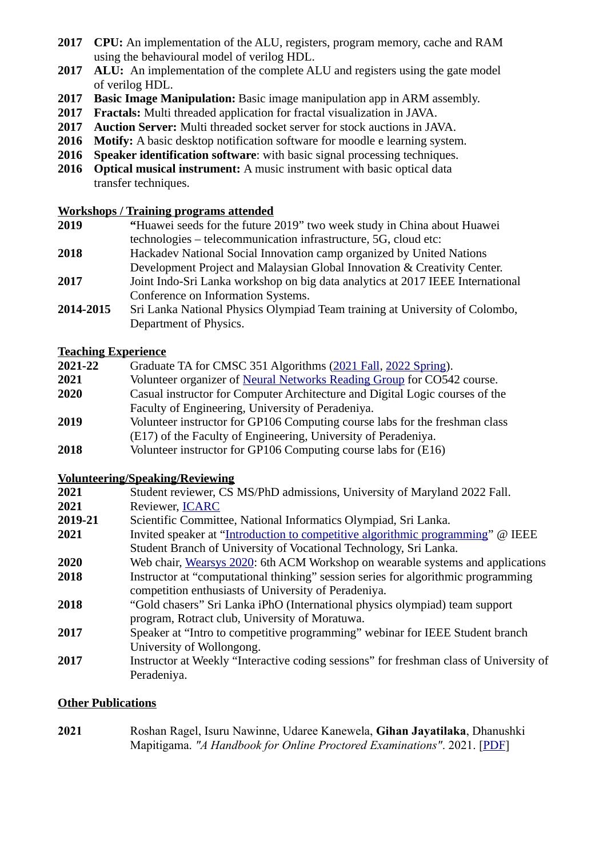- **2017 CPU:** An implementation of the ALU, registers, program memory, cache and RAM using the behavioural model of verilog HDL.
- **2017 ALU:** An implementation of the complete ALU and registers using the gate model of verilog HDL.
- **2017 Basic Image Manipulation:** Basic image manipulation app in ARM assembly.
- **2017 Fractals:** Multi threaded application for fractal visualization in JAVA.
- **2017 Auction Server:** Multi threaded socket server for stock auctions in JAVA.
- **2016 Motify:** A basic desktop notification software for moodle e learning system.
- **2016 Speaker identification software**: with basic signal processing techniques.
- **2016 Optical musical instrument:** A music instrument with basic optical data transfer techniques.

#### **Workshops / Training programs attended**

- **2019 "**Huawei seeds for the future 2019" two week study in China about Huawei technologies – telecommunication infrastructure, 5G, cloud etc:
- **2018** Hackadev National Social Innovation camp organized by United Nations Development Project and Malaysian Global Innovation & Creativity Center.
- **2017** Joint Indo-Sri Lanka workshop on big data analytics at 2017 IEEE International Conference on Information Systems.
- 2014-2015 Sri Lanka National Physics Olympiad Team training at University of Colombo, Department of Physics.

### **Teaching Experience**

| 2021-22 | Graduate TA for CMSC 351 Algorithms (2021 Fall, 2022 Spring).                |
|---------|------------------------------------------------------------------------------|
| 2021    | Volunteer organizer of Neural Networks Reading Group for CO542 course.       |
| 2020    | Casual instructor for Computer Architecture and Digital Logic courses of the |
|         | Faculty of Engineering, University of Peradeniya.                            |
| 2019    | Volunteer instructor for GP106 Computing course labs for the freshman class  |
|         | (E17) of the Faculty of Engineering, University of Peradeniya.               |

**2018** Volunteer instructor for GP106 Computing course labs for (E16)

## **Volunteering/Speaking/Reviewing**

- **2021** Student reviewer, CS MS/PhD admissions, University of Maryland 2022 Fall.
- **2021** Reviewer, [ICARC](http://www.icarc.sab.ac.lk/)
- **2019-21** Scientific Committee, National Informatics Olympiad, Sri Lanka.
- **2021** Invited speaker at ["Introduction to competitive algorithmic programming](https://gihan.me/talks/)" @ IEEE Student Branch of University of Vocational Technology, Sri Lanka.
- **2020** Web chair, [Wearsys 2020](https://sites.google.com/view/wearsys): 6th ACM Workshop on wearable systems and applications
- **2018** Instructor at "computational thinking" session series for algorithmic programming competition enthusiasts of University of Peradeniya.
- **2018** "Gold chasers" Sri Lanka iPhO (International physics olympiad) team support program, Rotract club, University of Moratuwa.
- **2017** Speaker at "Intro to competitive programming" webinar for IEEE Student branch University of Wollongong.
- **2017** Instructor at Weekly "Interactive coding sessions" for freshman class of University of Peradeniya.

## **Other Publications**

**[2021](https://gihan.me/publications/#online-exams-2021)** [Roshan Ragel, Isuru Nawinne, Udaree Kanewela,](https://gihan.me/publications/#online-exams-2021) **[Gihan Jayatilaka](https://gihan.me/publications/#online-exams-2021)**[, Dhanushki](https://gihan.me/publications/#online-exams-2021)  [Mapitigama.](https://gihan.me/publications/#online-exams-2021) *["A Handbook for Online Proctored Examinations"](https://gihan.me/publications/#online-exams-2021)*[. 2021](https://gihan.me/publications/#online-exams-2021). [\[PDF](https://cepdnaclk.github.io/proctored-exam-handbook/A-Handbook-for-Online-Proctored-Examinations.pdf)]